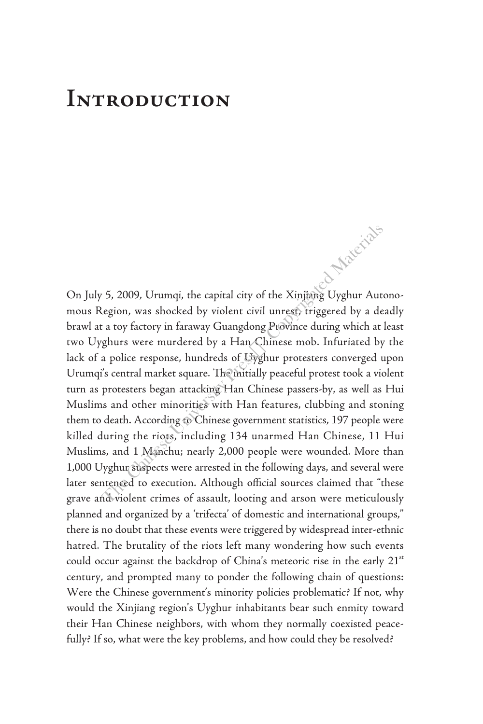## **Introduction**

On July 5, 2009, Urumqi, the capital city of the Xinjiang Uyghur Autonomous Region, was shocked by violent civil unrest, triggered by a deadly brawl at a toy factory in faraway Guangdong Province during which at least two Uyghurs were murdered by a Han Chinese mob. Infuriated by the lack of a police response, hundreds of Uyghur protesters converged upon Urumqi's central market square. The initially peaceful protest took a violent turn as protesters began attacking Han Chinese passers-by, as well as Hui Muslims and other minorities with Han features, clubbing and stoning them to death. According to Chinese government statistics, 197 people were killed during the riots, including 134 unarmed Han Chinese, 11 Hui Muslims, and 1 Manchu; nearly 2,000 people were wounded. More than 1,000 Uyghur suspects were arrested in the following days, and several were later sentenced to execution. Although official sources claimed that "these grave and violent crimes of assault, looting and arson were meticulously planned and organized by a 'trifecta' of domestic and international groups," there is no doubt that these events were triggered by widespread inter-ethnic hatred. The brutality of the riots left many wondering how such events could occur against the backdrop of China's meteoric rise in the early  $21<sup>st</sup>$ century, and prompted many to ponder the following chain of questions: Were the Chinese government's minority policies problematic? If not, why would the Xinjiang region's Uyghur inhabitants bear such enmity toward their Han Chinese neighbors, with whom they normally coexisted peacefully? If so, what were the key problems, and how could they be resolved? F. 2009, Urumqi, the capital city of the Xinjiang Uyghur Autegion, was shocked by violent civil unrest) triggered by a de a toy factory in faraway Guangdong Province during which at ghurs were murdered by a Han Chinese mo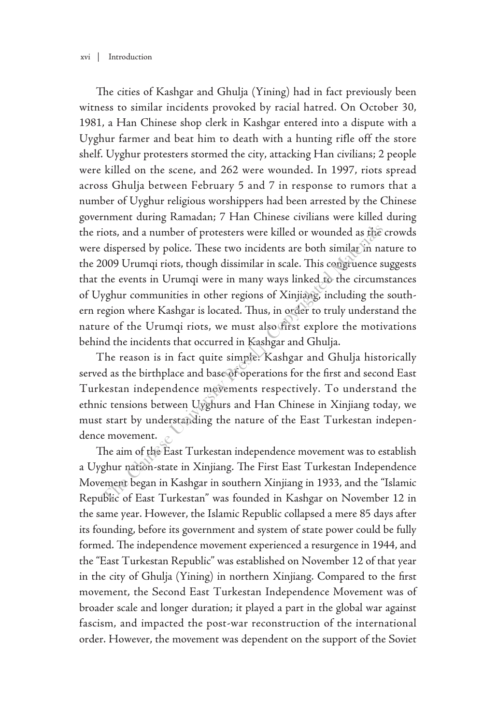The cities of Kashgar and Ghulja (Yining) had in fact previously been witness to similar incidents provoked by racial hatred. On October 30, 1981, a Han Chinese shop clerk in Kashgar entered into a dispute with a Uyghur farmer and beat him to death with a hunting rifle off the store shelf. Uyghur protesters stormed the city, attacking Han civilians; 2 people were killed on the scene, and 262 were wounded. In 1997, riots spread across Ghulja between February 5 and 7 in response to rumors that a number of Uyghur religious worshippers had been arrested by the Chinese government during Ramadan; 7 Han Chinese civilians were killed during the riots, and a number of protesters were killed or wounded as the crowds were dispersed by police. These two incidents are both similar in nature to the 2009 Urumqi riots, though dissimilar in scale. This congruence suggests that the events in Urumqi were in many ways linked to the circumstances of Uyghur communities in other regions of Xinjiang, including the southern region where Kashgar is located. Thus, in order to truly understand the nature of the Urumqi riots, we must also first explore the motivations behind the incidents that occurred in Kashgar and Ghulja. iots, and a number of protesters were killed or wounded as the<br>dispersed by police. These two incidents are both similar in na<br>009 Urumqi riots, though dissimilar in scale. This congruence s<br>the events in Urumqi were in ma

The reason is in fact quite simple: Kashgar and Ghulja historically served as the birthplace and base of operations for the first and second East Turkestan independence movements respectively. To understand the ethnic tensions between Uyghurs and Han Chinese in Xinjiang today, we must start by understanding the nature of the East Turkestan independence movement.  $\sigma$ 

The aim of the East Turkestan independence movement was to establish a Uyghur nation-state in Xinjiang. The First East Turkestan Independence Movement began in Kashgar in southern Xinjiang in 1933, and the "Islamic Republic of East Turkestan" was founded in Kashgar on November 12 in the same year. However, the Islamic Republic collapsed a mere 85 days after its founding, before its government and system of state power could be fully formed. The independence movement experienced a resurgence in 1944, and the "East Turkestan Republic" was established on November 12 of that year in the city of Ghulja (Yining) in northern Xinjiang. Compared to the first movement, the Second East Turkestan Independence Movement was of broader scale and longer duration; it played a part in the global war against fascism, and impacted the post-war reconstruction of the international order. However, the movement was dependent on the support of the Soviet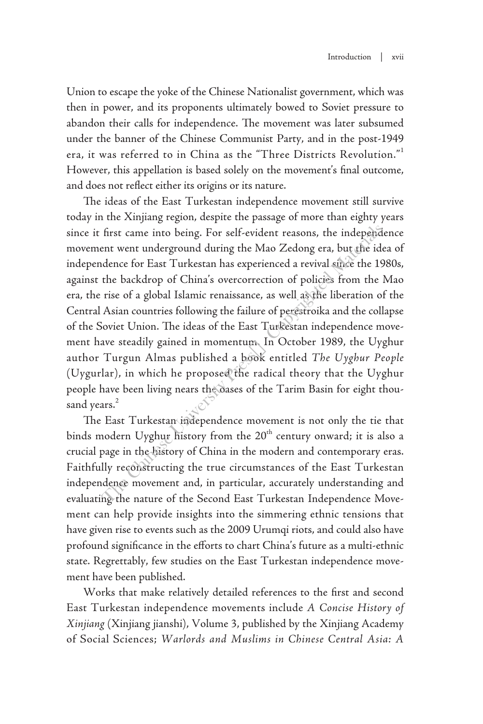Union to escape the yoke of the Chinese Nationalist government, which was then in power, and its proponents ultimately bowed to Soviet pressure to abandon their calls for independence. The movement was later subsumed under the banner of the Chinese Communist Party, and in the post-1949 era, it was referred to in China as the "Three Districts Revolution."<sup>1</sup> However, this appellation is based solely on the movement's final outcome, and does not reflect either its origins or its nature.

The ideas of the East Turkestan independence movement still survive today in the Xinjiang region, despite the passage of more than eighty years since it first came into being. For self-evident reasons, the independence movement went underground during the Mao Zedong era, but the idea of independence for East Turkestan has experienced a revival since the 1980s, against the backdrop of China's overcorrection of policies from the Mao era, the rise of a global Islamic renaissance, as well as the liberation of the Central Asian countries following the failure of perestroika and the collapse of the Soviet Union. The ideas of the East Turkestan independence movement have steadily gained in momentum. In October 1989, the Uyghur author Turgun Almas published a book entitled *The Uyghur People*  (Uygurlar), in which he proposed the radical theory that the Uyghur people have been living nears the oases of the Tarim Basin for eight thousand years.<sup>2</sup> first came into being. For self-evident reasons, the independent<br>went underground during the Mao Zedong era, but the iddence for East Turkestan has experienced a revival since the 15<br>the backdrop of China's overcorrection

The East Turkestan independence movement is not only the tie that binds modern Uyghur history from the  $20<sup>th</sup>$  century onward; it is also a crucial page in the history of China in the modern and contemporary eras. Faithfully reconstructing the true circumstances of the East Turkestan independence movement and, in particular, accurately understanding and evaluating the nature of the Second East Turkestan Independence Movement can help provide insights into the simmering ethnic tensions that have given rise to events such as the 2009 Urumqi riots, and could also have profound significance in the efforts to chart China's future as a multi-ethnic state. Regrettably, few studies on the East Turkestan independence movement have been published.

Works that make relatively detailed references to the first and second East Turkestan independence movements include *A Concise History of Xinjiang* (Xinjiang jianshi), Volume 3, published by the Xinjiang Academy of Social Sciences; *Warlords and Muslims in Chinese Central Asia: A*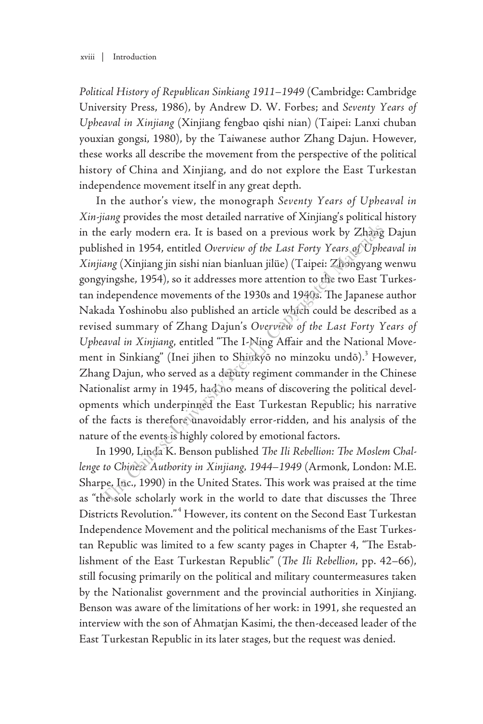*Political History of Republican Sinkiang 1911–1949* (Cambridge: Cambridge University Press, 1986), by Andrew D. W. Forbes; and *Seventy Years of Upheaval in Xinjiang* (Xinjiang fengbao qishi nian) (Taipei: Lanxi chuban youxian gongsi, 1980), by the Taiwanese author Zhang Dajun. However, these works all describe the movement from the perspective of the political history of China and Xinjiang, and do not explore the East Turkestan independence movement itself in any great depth.

In the author's view, the monograph *Seventy Years of Upheaval in Xin-jiang* provides the most detailed narrative of Xinjiang's political history in the early modern era. It is based on a previous work by Zhang Dajun published in 1954, entitled *Overview of the Last Forty Years of Upheaval in Xinjiang* (Xinjiang jin sishi nian bianluan jilüe) (Taipei: Zhongyang wenwu gongyingshe, 1954), so it addresses more attention to the two East Turkestan independence movements of the 1930s and 1940s. The Japanese author Nakada Yoshinobu also published an article which could be described as a revised summary of Zhang Dajun's *Overview of the Last Forty Years of Upheaval in Xinjiang*, entitled "The I-Ning Affair and the National Movement in Sinkiang" (Inei jihen to Shinkyō no minzoku undō).<sup>3</sup> However, Zhang Dajun, who served as a deputy regiment commander in the Chinese Nationalist army in 1945, had no means of discovering the political developments which underpinned the East Turkestan Republic; his narrative of the facts is therefore unavoidably error-ridden, and his analysis of the nature of the events is highly colored by emotional factors. e early modern era. It is based on a previous work by Zhang<br>ished in 1954, entitled *Overview of the Last Forty Years of Ophiang* (Xinjiang jin sishi nian bianluan jiliie) (Taipei: Zoongyang<br>yingshe, 1954), so it addresses

In 1990, Linda K. Benson published *The Ili Rebellion: The Moslem Challenge to Chinese Authority in Xinjiang, 1944–1949* (Armonk, London: M.E. Sharpe, Inc., 1990) in the United States. This work was praised at the time as "the sole scholarly work in the world to date that discusses the Three Districts Revolution." <sup>4</sup> However, its content on the Second East Turkestan Independence Movement and the political mechanisms of the East Turkestan Republic was limited to a few scanty pages in Chapter 4, "The Establishment of the East Turkestan Republic" (*The Ili Rebellion*, pp. 42–66), still focusing primarily on the political and military countermeasures taken by the Nationalist government and the provincial authorities in Xinjiang. Benson was aware of the limitations of her work: in 1991, she requested an interview with the son of Ahmatjan Kasimi, the then-deceased leader of the East Turkestan Republic in its later stages, but the request was denied.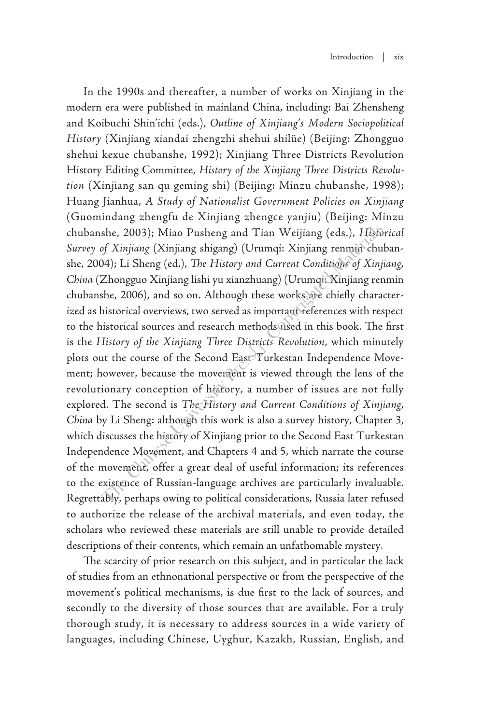In the 1990s and thereafter, a number of works on Xinjiang in the modern era were published in mainland China, including: Bai Zhensheng and Koibuchi Shin'ichi (eds.), *Outline of Xinjiang's Modern Sociopolitical History* (Xinjiang xiandai zhengzhi shehui shilüe) (Beijing: Zhongguo shehui kexue chubanshe, 1992); Xinjiang Three Districts Revolution History Editing Committee, *History of the Xinjiang Three Districts Revolution* (Xinjiang san qu geming shi) (Beijing: Minzu chubanshe, 1998); Huang Jianhua, *A Study of Nationalist Government Policies on Xinjiang*  (Guomindang zhengfu de Xinjiang zhengce yanjiu) (Beijing: Minzu chubanshe, 2003); Miao Pusheng and Tian Weijiang (eds.), *Historical Survey of Xinjiang* (Xinjiang shigang) (Urumqi: Xinjiang renmin chubanshe, 2004); Li Sheng (ed.), *The History and Current Conditions of Xinjiang, China* (Zhongguo Xinjiang lishi yu xianzhuang) (Urumqi: Xinjiang renmin chubanshe, 2006), and so on. Although these works are chiefly characterized as historical overviews, two served as important references with respect to the historical sources and research methods used in this book. The first is the *History of the Xinjiang Three Districts Revolution*, which minutely plots out the course of the Second East Turkestan Independence Movement; however, because the movement is viewed through the lens of the revolutionary conception of history, a number of issues are not fully explored. The second is *The History and Current Conditions of Xinjiang, China* by Li Sheng: although this work is also a survey history, Chapter 3, which discusses the history of Xinjiang prior to the Second East Turkestan Independence Movement, and Chapters 4 and 5, which narrate the course of the movement, offer a great deal of useful information; its references to the existence of Russian-language archives are particularly invaluable. Regrettably, perhaps owing to political considerations, Russia later refused to authorize the release of the archival materials, and even today, the scholars who reviewed these materials are still unable to provide detailed descriptions of their contents, which remain an unfathomable mystery. she, 2003); Miao Pusheng and Tian Weijiang (eds.), Highor<br>of Xinjiang (Xinjiang shigang) (Urumqi: Xinjiang renmin chu<br>A); Li Sheng (ed.), *The History and Current Conditions* of Xinj<br>Zhongguo Xinjiang lishi yu xianzhuang)

The scarcity of prior research on this subject, and in particular the lack of studies from an ethnonational perspective or from the perspective of the movement's political mechanisms, is due first to the lack of sources, and secondly to the diversity of those sources that are available. For a truly thorough study, it is necessary to address sources in a wide variety of languages, including Chinese, Uyghur, Kazakh, Russian, English, and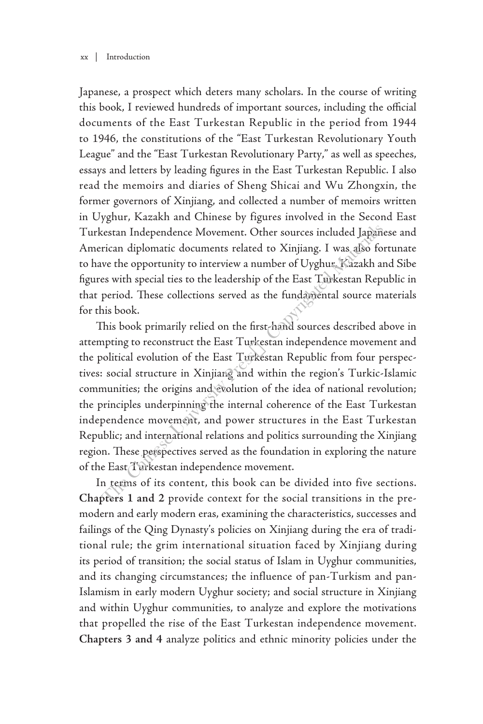Japanese, a prospect which deters many scholars. In the course of writing this book, I reviewed hundreds of important sources, including the official documents of the East Turkestan Republic in the period from 1944 to 1946, the constitutions of the "East Turkestan Revolutionary Youth League" and the "East Turkestan Revolutionary Party," as well as speeches, essays and letters by leading figures in the East Turkestan Republic. I also read the memoirs and diaries of Sheng Shicai and Wu Zhongxin, the former governors of Xinjiang, and collected a number of memoirs written in Uyghur, Kazakh and Chinese by figures involved in the Second East Turkestan Independence Movement. Other sources included Japanese and American diplomatic documents related to Xinjiang. I was also fortunate to have the opportunity to interview a number of Uyghur, Kazakh and Sibe figures with special ties to the leadership of the East Turkestan Republic in that period. These collections served as the fundamental source materials for this book.

This book primarily relied on the first-hand sources described above in attempting to reconstruct the East Turkestan independence movement and the political evolution of the East Turkestan Republic from four perspectives: social structure in Xinjiang and within the region's Turkic-Islamic communities; the origins and evolution of the idea of national revolution; the principles underpinning the internal coherence of the East Turkestan independence movement, and power structures in the East Turkestan Republic; and international relations and politics surrounding the Xinjiang region. These perspectives served as the foundation in exploring the nature of the East Turkestan independence movement. rican Independence Movement. Other sources included Japan<br>rican diplomatic documents related to Xinjiang. I was also fo<br>we the opportunity to interview a number of Uyghur, Kazakh an<br>es with special ties to the leadership o

In terms of its content, this book can be divided into five sections. **Chapters 1 and 2** provide context for the social transitions in the premodern and early modern eras, examining the characteristics, successes and failings of the Qing Dynasty's policies on Xinjiang during the era of traditional rule; the grim international situation faced by Xinjiang during its period of transition; the social status of Islam in Uyghur communities, and its changing circumstances; the influence of pan-Turkism and pan-Islamism in early modern Uyghur society; and social structure in Xinjiang and within Uyghur communities, to analyze and explore the motivations that propelled the rise of the East Turkestan independence movement. **Chapters 3 and 4** analyze politics and ethnic minority policies under the